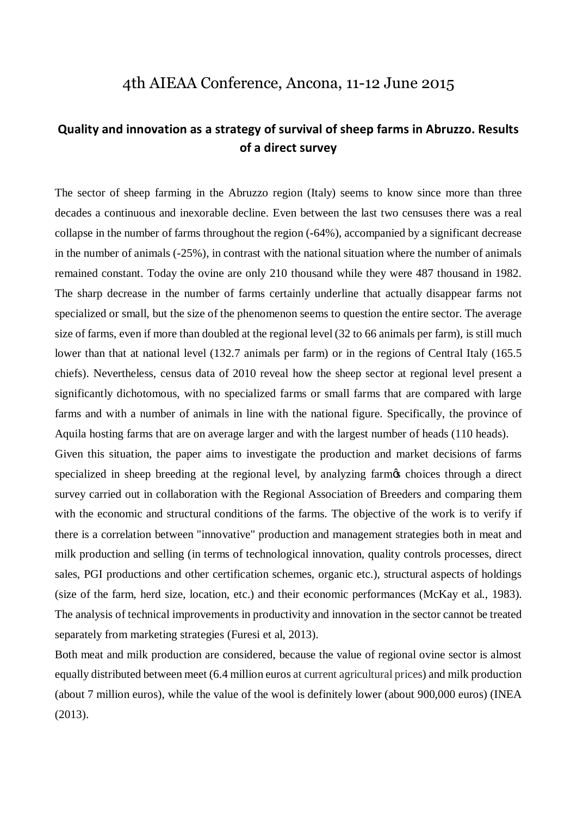## 4th AIEAA Conference, Ancona, 11-12 June 2015

## **Quality and innovation as a strategy of survival of sheep farms in Abruzzo. Results of a direct survey**

The sector of sheep farming in the Abruzzo region (Italy) seems to know since more than three decades a continuous and inexorable decline. Even between the last two censuses there was a real collapse in the number of farms throughout the region (-64%), accompanied by a significant decrease in the number of animals (-25%), in contrast with the national situation where the number of animals remained constant. Today the ovine are only 210 thousand while they were 487 thousand in 1982. The sharp decrease in the number of farms certainly underline that actually disappear farms not specialized or small, but the size of the phenomenon seems to question the entire sector. The average size of farms, even if more than doubled at the regional level (32 to 66 animals per farm), is still much lower than that at national level (132.7 animals per farm) or in the regions of Central Italy (165.5 chiefs). Nevertheless, census data of 2010 reveal how the sheep sector at regional level present a significantly dichotomous, with no specialized farms or small farms that are compared with large farms and with a number of animals in line with the national figure. Specifically, the province of Aquila hosting farms that are on average larger and with the largest number of heads (110 heads).

Given this situation, the paper aims to investigate the production and market decisions of farms specialized in sheep breeding at the regional level, by analyzing farmos choices through a direct survey carried out in collaboration with the Regional Association of Breeders and comparing them with the economic and structural conditions of the farms. The objective of the work is to verify if there is a correlation between "innovative" production and management strategies both in meat and milk production and selling (in terms of technological innovation, quality controls processes, direct sales, PGI productions and other certification schemes, organic etc.), structural aspects of holdings (size of the farm, herd size, location, etc.) and their economic performances (McKay et al., 1983). The analysis of technical improvements in productivity and innovation in the sector cannot be treated separately from marketing strategies (Furesi et al, 2013).

Both meat and milk production are considered, because the value of regional ovine sector is almost equally distributed between meet (6.4 million euros at current agricultural prices) and milk production (about 7 million euros), while the value of the wool is definitely lower (about 900,000 euros) (INEA (2013).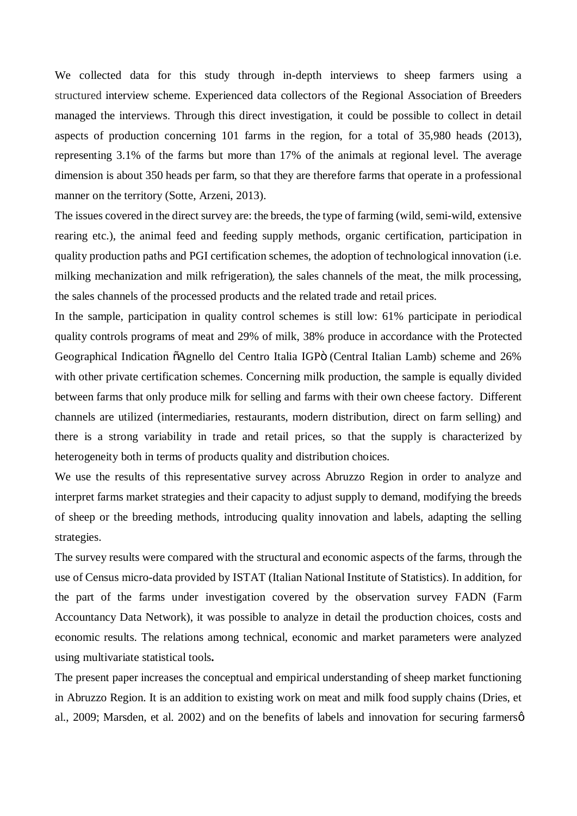We collected data for this study through in-depth interviews to sheep farmers using a structured interview scheme. Experienced data collectors of the Regional Association of Breeders managed the interviews. Through this direct investigation, it could be possible to collect in detail aspects of production concerning 101 farms in the region, for a total of 35,980 heads (2013), representing 3.1% of the farms but more than 17% of the animals at regional level. The average dimension is about 350 heads per farm, so that they are therefore farms that operate in a professional manner on the territory (Sotte, Arzeni, 2013).

The issues covered in the direct survey are: the breeds, the type of farming (wild, semi-wild, extensive rearing etc.), the animal feed and feeding supply methods, organic certification, participation in quality production paths and PGI certification schemes, the adoption of technological innovation (i.e. milking mechanization and milk refrigeration)*,* the sales channels of the meat, the milk processing, the sales channels of the processed products and the related trade and retail prices.

In the sample, participation in quality control schemes is still low: 61% participate in periodical quality controls programs of meat and 29% of milk, 38% produce in accordance with the Protected Geographical Indication  $\tilde{o}A$ gnello del Centro Italia IGP $\ddot{o}$  (Central Italian Lamb) scheme and 26% with other private certification schemes. Concerning milk production, the sample is equally divided between farms that only produce milk for selling and farms with their own cheese factory. Different channels are utilized (intermediaries, restaurants, modern distribution, direct on farm selling) and there is a strong variability in trade and retail prices, so that the supply is characterized by heterogeneity both in terms of products quality and distribution choices.

We use the results of this representative survey across Abruzzo Region in order to analyze and interpret farms market strategies and their capacity to adjust supply to demand, modifying the breeds of sheep or the breeding methods, introducing quality innovation and labels, adapting the selling strategies.

The survey results were compared with the structural and economic aspects of the farms, through the use of Census micro-data provided by ISTAT (Italian National Institute of Statistics). In addition, for the part of the farms under investigation covered by the observation survey FADN (Farm Accountancy Data Network), it was possible to analyze in detail the production choices, costs and economic results. The relations among technical, economic and market parameters were analyzed using multivariate statistical tools**.**

The present paper increases the conceptual and empirical understanding of sheep market functioning in Abruzzo Region. It is an addition to existing work on meat and milk food supply chains (Dries, et al., 2009; Marsden, et al. 2002) and on the benefits of labels and innovation for securing farmers  $\phi$